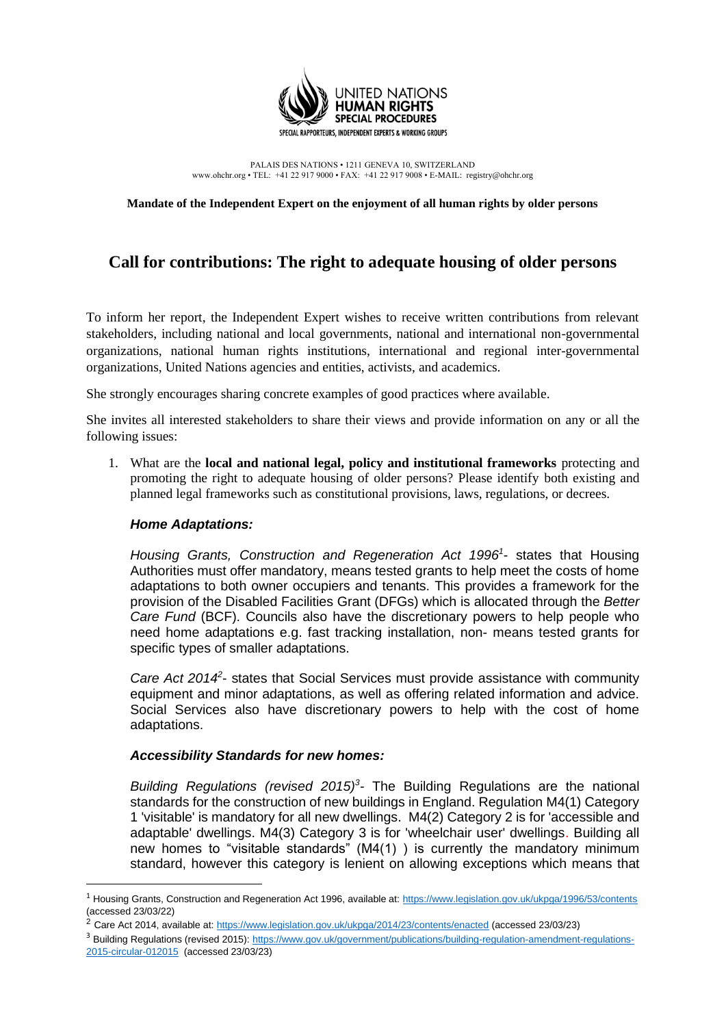

PALAIS DES NATIONS • 1211 GENEVA 10, SWITZERLAND www.ohchr.org • TEL: +41 22 917 9000 • FAX: +41 22 917 9008 • E-MAIL: registry@ohchr.org

**Mandate of the Independent Expert on the enjoyment of all human rights by older persons**

# **Call for contributions: The right to adequate housing of older persons**

To inform her report, the Independent Expert wishes to receive written contributions from relevant stakeholders, including national and local governments, national and international non-governmental organizations, national human rights institutions, international and regional inter-governmental organizations, United Nations agencies and entities, activists, and academics.

She strongly encourages sharing concrete examples of good practices where available.

She invites all interested stakeholders to share their views and provide information on any or all the following issues:

1. What are the **local and national legal, policy and institutional frameworks** protecting and promoting the right to adequate housing of older persons? Please identify both existing and planned legal frameworks such as constitutional provisions, laws, regulations, or decrees.

#### *Home Adaptations:*

Housing Grants, Construction and Regeneration Act 1996<sup>1</sup>- states that Housing Authorities must offer mandatory, means tested grants to help meet the costs of home adaptations to both owner occupiers and tenants. This provides a framework for the provision of the Disabled Facilities Grant (DFGs) which is allocated through the *Better Care Fund* (BCF). Councils also have the discretionary powers to help people who need home adaptations e.g. fast tracking installation, non- means tested grants for specific types of smaller adaptations.

Care Act 2014<sup>2</sup>- states that Social Services must provide assistance with community equipment and minor adaptations, as well as offering related information and advice. Social Services also have discretionary powers to help with the cost of home adaptations.

#### *Accessibility Standards for new homes:*

*Building Regulations (revised 2015)<sup>3</sup> -* The Building Regulations are the national standards for the construction of new buildings in England. Regulation M4(1) Category 1 'visitable' is mandatory for all new dwellings. M4(2) Category 2 is for 'accessible and adaptable' dwellings. M4(3) Category 3 is for 'wheelchair user' dwellings. Building all new homes to "visitable standards" (M4(1) ) is currently the mandatory minimum standard, however this category is lenient on allowing exceptions which means that

<sup>1</sup> Housing Grants, Construction and Regeneration Act 1996, available at:<https://www.legislation.gov.uk/ukpga/1996/53/contents> (accessed 23/03/22)

<sup>2</sup> Care Act 2014, available at:<https://www.legislation.gov.uk/ukpga/2014/23/contents/enacted> (accessed 23/03/23)

<sup>&</sup>lt;sup>3</sup> Building Regulations (revised 2015): [https://www.gov.uk/government/publications/building-regulation-amendment-regulations-](https://www.gov.uk/government/publications/building-regulation-amendment-regulations-2015-circular-012015)[2015-circular-012015](https://www.gov.uk/government/publications/building-regulation-amendment-regulations-2015-circular-012015) (accessed 23/03/23)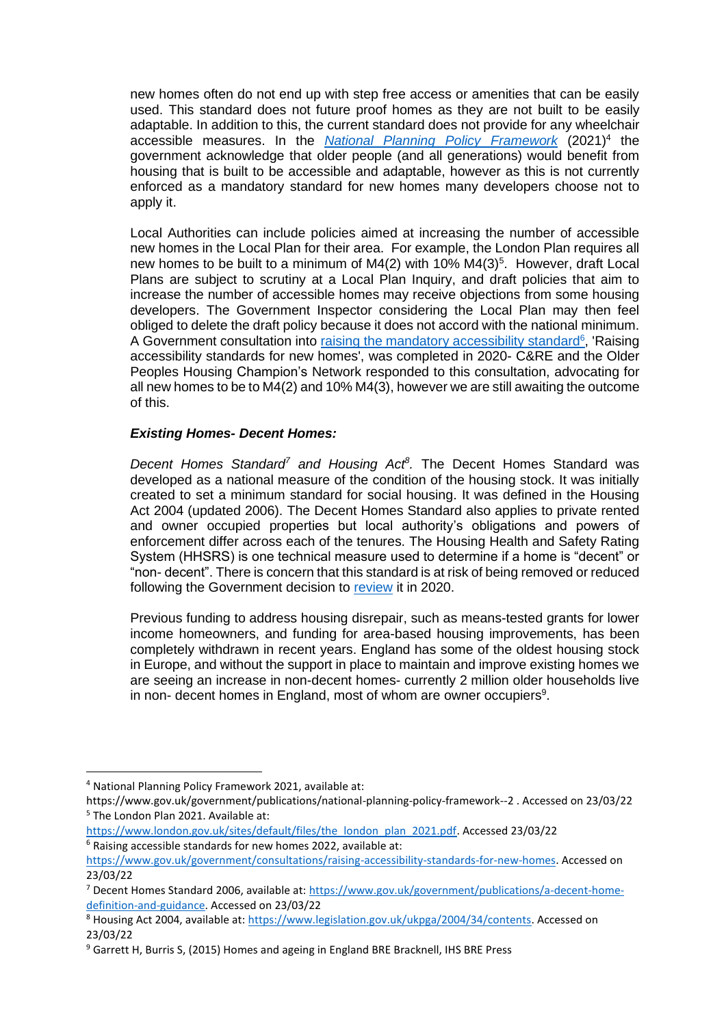new homes often do not end up with step free access or amenities that can be easily used. This standard does not future proof homes as they are not built to be easily adaptable. In addition to this, the current standard does not provide for any wheelchair accessible measures. In the **[National Planning Policy Framework](https://assets.publishing.service.gov.uk/government/uploads/system/uploads/attachment_data/file/1005759/NPPF_July_2021.pdf)** (2021)<sup>4</sup> the government acknowledge that older people (and all generations) would benefit from housing that is built to be accessible and adaptable, however as this is not currently enforced as a mandatory standard for new homes many developers choose not to apply it.

Local Authorities can include policies aimed at increasing the number of accessible new homes in the Local Plan for their area. For example, the London Plan requires all new homes to be built to a minimum of  $M4(2)$  with 10%  $M4(3)^5$ . However, draft Local Plans are subject to scrutiny at a Local Plan Inquiry, and draft policies that aim to increase the number of accessible homes may receive objections from some housing developers. The Government Inspector considering the Local Plan may then feel obliged to delete the draft policy because it does not accord with the national minimum. A Government consultation into [raising the mandatory accessibility standard](https://www.gov.uk/government/consultations/raising-accessibility-standards-for-new-homes)<sup>6</sup>, 'Raising accessibility standards for new homes', was completed in 2020- C&RE and the Older Peoples Housing Champion's Network responded to this consultation, advocating for all new homes to be to M4(2) and 10% M4(3), however we are still awaiting the outcome of this.

## *Existing Homes- Decent Homes:*

*Decent Homes Standard<sup>7</sup> and Housing Act<sup>8</sup> .* The Decent Homes Standard was developed as a national measure of the condition of the housing stock. It was initially created to set a minimum standard for social housing. It was defined in the Housing Act 2004 (updated 2006). The Decent Homes Standard also applies to private rented and owner occupied properties but local authority's obligations and powers of enforcement differ across each of the tenures. The Housing Health and Safety Rating System (HHSRS) is one technical measure used to determine if a home is "decent" or "non- decent". There is concern that this standard is at risk of being removed or reduced following the Government decision to [review](https://www.gov.uk/guidance/decent-homes-standard-review) it in 2020.

Previous funding to address housing disrepair, such as means-tested grants for lower income homeowners, and funding for area-based housing improvements, has been completely withdrawn in recent years. England has some of the oldest housing stock in Europe, and without the support in place to maintain and improve existing homes we are seeing an increase in non-decent homes- currently 2 million older households live in non- decent homes in England, most of whom are owner occupiers<sup>9</sup>.

<sup>4</sup> National Planning Policy Framework 2021, available at:

https://www.gov.uk/government/publications/national-planning-policy-framework--2 . Accessed on 23/03/22 <sup>5</sup> The London Plan 2021. Available at:

[https://www.london.gov.uk/sites/default/files/the\\_london\\_plan\\_2021.pdf.](https://www.london.gov.uk/sites/default/files/the_london_plan_2021.pdf) Accessed 23/03/22  $6$  Raising accessible standards for new homes 2022, available at:

[https://www.gov.uk/government/consultations/raising-accessibility-standards-for-new-homes.](https://www.gov.uk/government/consultations/raising-accessibility-standards-for-new-homes) Accessed on 23/03/22

<sup>7</sup> Decent Homes Standard 2006, available at[: https://www.gov.uk/government/publications/a-decent-home](https://www.gov.uk/government/publications/a-decent-home-definition-and-guidance)[definition-and-guidance.](https://www.gov.uk/government/publications/a-decent-home-definition-and-guidance) Accessed on 23/03/22

<sup>8</sup> Housing Act 2004, available at[: https://www.legislation.gov.uk/ukpga/2004/34/contents.](https://www.legislation.gov.uk/ukpga/2004/34/contents) Accessed on 23/03/22

<sup>&</sup>lt;sup>9</sup> Garrett H, Burris S, (2015) Homes and ageing in England BRE Bracknell, IHS BRE Press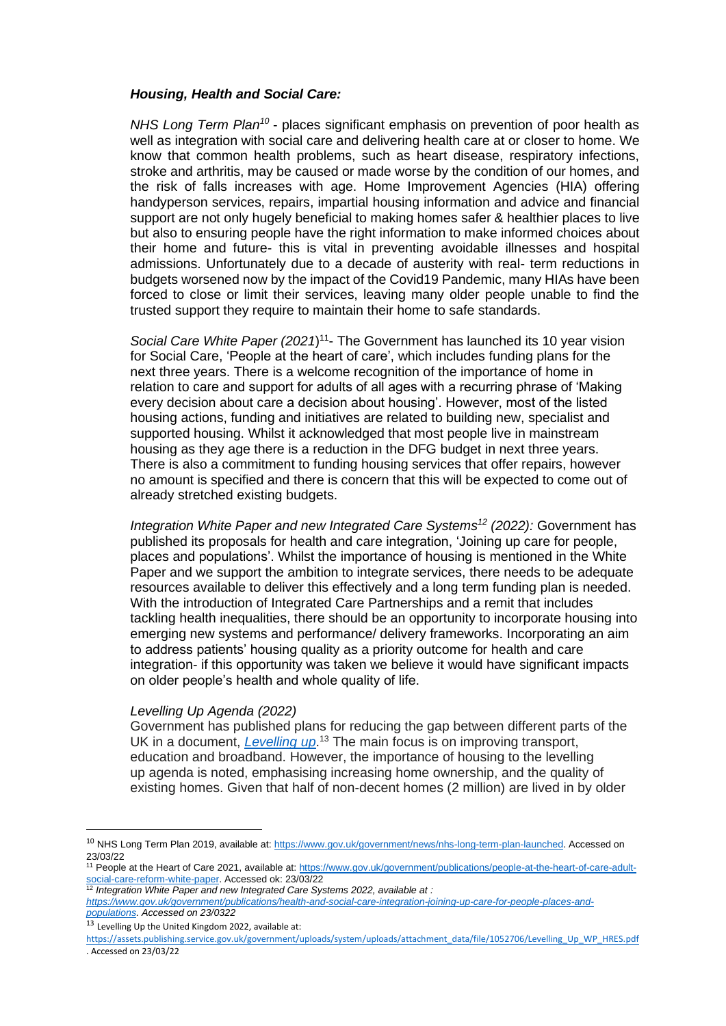#### *Housing, Health and Social Care:*

*NHS Long Term Plan<sup>10</sup>* - places significant emphasis on prevention of poor health as well as integration with social care and delivering health care at or closer to home. We know that common health problems, such as heart disease, respiratory infections, stroke and arthritis, may be caused or made worse by the condition of our homes, and the risk of falls increases with age. Home Improvement Agencies (HIA) offering handyperson services, repairs, impartial housing information and advice and financial support are not only hugely beneficial to making homes safer & healthier places to live but also to ensuring people have the right information to make informed choices about their home and future- this is vital in preventing avoidable illnesses and hospital admissions. Unfortunately due to a decade of austerity with real- term reductions in budgets worsened now by the impact of the Covid19 Pandemic, many HIAs have been forced to close or limit their services, leaving many older people unable to find the trusted support they require to maintain their home to safe standards.

Social Care White Paper (2021)<sup>11</sup>- The Government has launched its 10 year vision for Social Care, ['People at the heart of](https://www.gov.uk/government/publications/people-at-the-heart-of-care-adult-social-care-reform-white-paper) care', which includes funding plans for the next three years. There is a welcome recognition of the importance of home in relation to care and support for adults of all ages with a recurring phrase of 'Making every decision about care a decision about housing'. However, most of the listed housing actions, funding and initiatives are related to building new, specialist and supported housing. Whilst it acknowledged that most people live in mainstream housing as they age there is a reduction in the DFG budget in next three years. There is also a commitment to funding housing services that offer repairs, however no amount is specified and there is concern that this will be expected to come out of already stretched existing budgets.

*Integration White Paper and new Integrated Care Systems<sup>12</sup> (2022):* Government has published its proposals for health and care integration, ['Joining up](https://assets.publishing.service.gov.uk/government/uploads/system/uploads/attachment_data/file/1053845/joining-up-care-for-people-places-and-populations.pdf) care for people, places and [populations'.](https://assets.publishing.service.gov.uk/government/uploads/system/uploads/attachment_data/file/1053845/joining-up-care-for-people-places-and-populations.pdf) Whilst the importance of housing is mentioned in the White Paper and we support the ambition to integrate services, there needs to be adequate resources available to deliver this effectively and a long term funding plan is needed. With the introduction of Integrated Care Partnerships and a remit that includes tackling health inequalities, there should be an opportunity to incorporate housing into emerging new systems and performance/ delivery frameworks. Incorporating an aim to address patients' housing quality as a priority outcome for health and care integration- if this opportunity was taken we believe it would have significant impacts on older people's health and whole quality of life.

#### *Levelling Up Agenda (2022)*

Government has published plans for reducing the gap between different parts of the UK in a document, *[Levelling](https://assets.publishing.service.gov.uk/government/uploads/system/uploads/attachment_data/file/1052064/Levelling_Up_White_Paper_HR.pdf) up*. <sup>13</sup> The main focus is on improving transport, education and broadband. However, the importance of housing to the levelling up agenda is noted, emphasising increasing home ownership, and the quality of existing homes. Given that half of non-decent homes (2 million) are lived in by older

<sup>&</sup>lt;sup>10</sup> NHS Long Term Plan 2019, available at: [https://www.gov.uk/government/news/nhs-long-term-plan-launched.](https://www.gov.uk/government/news/nhs-long-term-plan-launched) Accessed on 23/03/22

<sup>&</sup>lt;sup>11</sup> People at the Heart of Care 2021, available at[: https://www.gov.uk/government/publications/people-at-the-heart-of-care-adult](https://www.gov.uk/government/publications/people-at-the-heart-of-care-adult-social-care-reform-white-paper)[social-care-reform-white-paper.](https://www.gov.uk/government/publications/people-at-the-heart-of-care-adult-social-care-reform-white-paper) Accessed ok: 23/03/22 12 **Integration White-Paper. Accessed ok:** 23/03/22<br>
<sup>12</sup> Integration White Paper and new Integrated Care Systems 2022, available at *:* 

*[https://www.gov.uk/government/publications/health-and-social-care-integration-joining-up-care-for-people-places-and](https://www.gov.uk/government/publications/health-and-social-care-integration-joining-up-care-for-people-places-and-populations)[populations.](https://www.gov.uk/government/publications/health-and-social-care-integration-joining-up-care-for-people-places-and-populations) Accessed on 23/0322*

<sup>13</sup> Levelling Up the United Kingdom 2022, available at:

[https://assets.publishing.service.gov.uk/government/uploads/system/uploads/attachment\\_data/file/1052706/Levelling\\_Up\\_WP\\_HRES.pdf](https://assets.publishing.service.gov.uk/government/uploads/system/uploads/attachment_data/file/1052706/Levelling_Up_WP_HRES.pdf) . Accessed on 23/03/22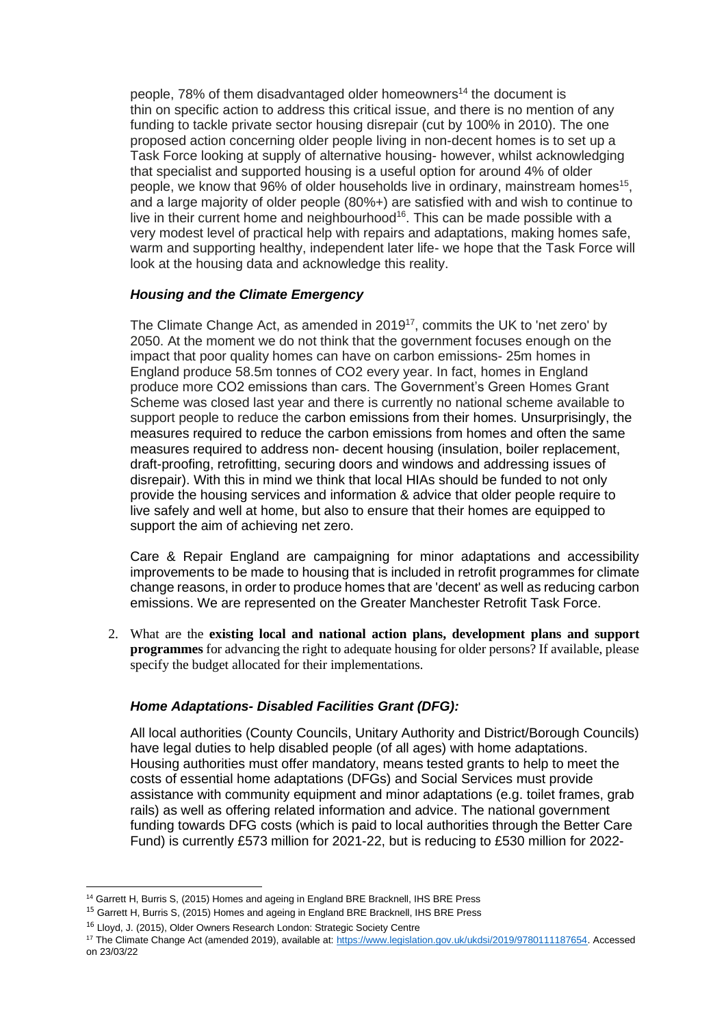people, 78% of them disadvantaged older homeowners<sup>14</sup> the document is thin on specific action to address this critical issue, and there is no mention of any funding to tackle private sector housing disrepair (cut by 100% in 2010). The one proposed action concerning older people living in non-decent homes is to set up a Task Force looking at supply of alternative housing- however, whilst acknowledging that specialist and supported housing is a useful option for around 4% of older people, we know that 96% of older households live in ordinary, mainstream homes<sup>15</sup>, and a large majority of older people (80%+) are satisfied with and wish to continue to live in their current home and neighbourhood<sup>16</sup>. This can be made possible with a very modest level of practical help with repairs and adaptations, making homes safe, warm and supporting healthy, independent later life- we hope that the Task Force will look at the housing data and acknowledge this reality.

## *Housing and the Climate Emergency*

The Climate Change Act, as amended in  $2019^{17}$ , commits the UK to 'net zero' by 2050. At the moment we do not think that the government focuses enough on the impact that poor quality homes can have on carbon emissions- 25m homes in England produce 58.5m tonnes of CO2 every year. In fact, homes in England produce more CO2 emissions than cars. The Government's Green Homes Grant Scheme was closed last year and there is currently no national scheme available to support people to reduce the carbon emissions from their homes. Unsurprisingly, the measures required to reduce the carbon emissions from homes and often the same measures required to address non- decent housing (insulation, boiler replacement, draft-proofing, retrofitting, securing doors and windows and addressing issues of disrepair). With this in mind we think that local HIAs should be funded to not only provide the housing services and information & advice that older people require to live safely and well at home, but also to ensure that their homes are equipped to support the aim of achieving net zero.

Care & Repair England are campaigning for minor adaptations and accessibility improvements to be made to housing that is included in retrofit programmes for climate change reasons, in order to produce homes that are 'decent' as well as reducing carbon emissions. We are represented on the Greater Manchester Retrofit Task Force.

2. What are the **existing local and national action plans, development plans and support programmes** for advancing the right to adequate housing for older persons? If available, please specify the budget allocated for their implementations.

## *Home Adaptations- Disabled Facilities Grant (DFG):*

All local authorities (County Councils, Unitary Authority and District/Borough Councils) have legal duties to help disabled people (of all ages) with home adaptations. Housing authorities must offer mandatory, means tested grants to help to meet the costs of essential home adaptations (DFGs) and Social Services must provide assistance with community equipment and minor adaptations (e.g. toilet frames, grab rails) as well as offering related information and advice. The national government funding towards DFG costs (which is paid to local authorities through the Better Care Fund) is currently £573 million for 2021-22, but is reducing to £530 million for 2022-

<sup>&</sup>lt;sup>14</sup> Garrett H, Burris S, (2015) Homes and ageing in England BRE Bracknell, IHS BRE Press

<sup>&</sup>lt;sup>15</sup> Garrett H, Burris S, (2015) Homes and ageing in England BRE Bracknell, IHS BRE Press

<sup>&</sup>lt;sup>16</sup> Lloyd, J. (2015), Older Owners Research London: Strategic Society Centre

<sup>&</sup>lt;sup>17</sup> The Climate Change Act (amended 2019), available at: [https://www.legislation.gov.uk/ukdsi/2019/9780111187654.](https://www.legislation.gov.uk/ukdsi/2019/9780111187654) Accessed on 23/03/22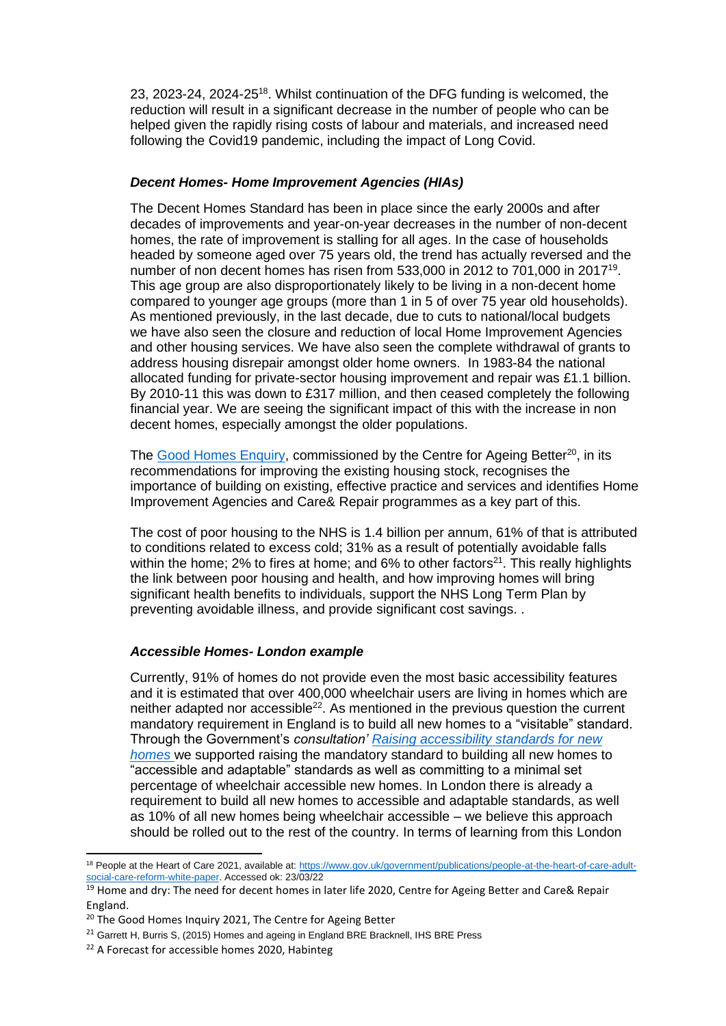23, 2023-24, 2024-25<sup>18</sup>. Whilst continuation of the DFG funding is welcomed, the reduction will result in a significant decrease in the number of people who can be helped given the rapidly rising costs of labour and materials, and increased need following the Covid19 pandemic, including the impact of Long Covid.

## *Decent Homes- Home Improvement Agencies (HIAs)*

The Decent Homes Standard has been in place since the early 2000s and after decades of improvements and year-on-year decreases in the number of non-decent homes, the rate of improvement is stalling for all ages. In the case of households headed by someone aged over 75 years old, the trend has actually reversed and the number of non decent homes has risen from 533,000 in 2012 to 701,000 in 2017<sup>19</sup>. This age group are also disproportionately likely to be living in a non-decent home compared to younger age groups (more than 1 in 5 of over 75 year old households). As mentioned previously, in the last decade, due to cuts to national/local budgets we have also seen the closure and reduction of local Home Improvement Agencies and other housing services. We have also seen the complete withdrawal of grants to address housing disrepair amongst older home owners. In 1983-84 the national allocated funding for private-sector housing improvement and repair was £1.1 billion. By 2010-11 this was down to £317 million, and then ceased completely the following financial year. We are seeing the significant impact of this with the increase in non decent homes, especially amongst the older populations.

The [Good Homes Enquiry,](https://ageing-better.org.uk/sites/default/files/2021-09/good-homes-for-all-a-proposal.pdf) commissioned by the Centre for Ageing Better<sup>20</sup>, in its recommendations for improving the existing housing stock, recognises the importance of building on existing, effective practice and services and identifies Home Improvement Agencies and Care& Repair programmes as a key part of this.

The cost of poor housing to the NHS is 1.4 billion per annum, 61% of that is attributed to conditions related to excess cold; 31% as a result of potentially avoidable falls within the home; 2% to fires at home; and 6% to other factors<sup>21</sup>. This really highlights the link between poor housing and health, and how improving homes will bring significant health benefits to individuals, support the NHS Long Term Plan by preventing avoidable illness, and provide significant cost savings. .

## *Accessible Homes- London example*

Currently, 91% of homes do not provide even the most basic accessibility features and it is estimated that over 400,000 wheelchair users are living in homes which are neither adapted nor accessible<sup>22</sup>. As mentioned in the previous question the current mandatory requirement in England is to build all new homes to a "visitable" standard. Through the Government's *consultation' [Raising accessibility standards for new](https://www.gov.uk/government/consultations/raising-accessibility-standards-for-new-homeshttps:/www.gov.uk/government/consultations/raising-accessibility-standards-for-new-homes) [homes](https://www.gov.uk/government/consultations/raising-accessibility-standards-for-new-homeshttps:/www.gov.uk/government/consultations/raising-accessibility-standards-for-new-homes)* we supported raising the mandatory standard to building all new homes to "accessible and adaptable" standards as well as committing to a minimal set percentage of wheelchair accessible new homes. In London there is already a requirement to build all new homes to accessible and adaptable standards, as well as 10% of all new homes being wheelchair accessible – we believe this approach should be rolled out to the rest of the country. In terms of learning from this London

<sup>&</sup>lt;sup>18</sup> People at the Heart of Care 2021, available at[: https://www.gov.uk/government/publications/people-at-the-heart-of-care-adult](https://www.gov.uk/government/publications/people-at-the-heart-of-care-adult-social-care-reform-white-paper)[social-care-reform-white-paper.](https://www.gov.uk/government/publications/people-at-the-heart-of-care-adult-social-care-reform-white-paper) Accessed ok: 23/03/22

<sup>&</sup>lt;sup>19</sup> Home and dry: The need for decent homes in later life 2020, Centre for Ageing Better and Care& Repair England.

<sup>&</sup>lt;sup>20</sup> The Good Homes Inquiry 2021, The Centre for Ageing Better

<sup>&</sup>lt;sup>21</sup> Garrett H, Burris S, (2015) Homes and ageing in England BRE Bracknell, IHS BRE Press

<sup>&</sup>lt;sup>22</sup> A Forecast for accessible homes 2020, Habinteg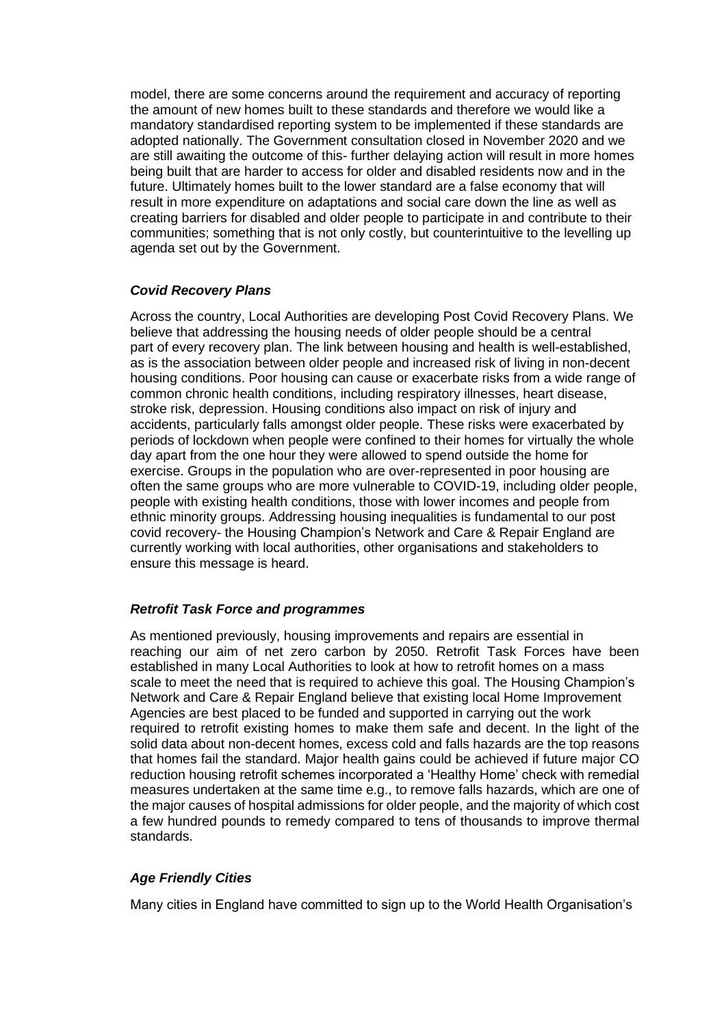model, there are some concerns around the requirement and accuracy of reporting the amount of new homes built to these standards and therefore we would like a mandatory standardised reporting system to be implemented if these standards are adopted nationally. The Government consultation closed in November 2020 and we are still awaiting the outcome of this- further delaying action will result in more homes being built that are harder to access for older and disabled residents now and in the future. Ultimately homes built to the lower standard are a false economy that will result in more expenditure on adaptations and social care down the line as well as creating barriers for disabled and older people to participate in and contribute to their communities; something that is not only costly, but counterintuitive to the levelling up agenda set out by the Government.

## *Covid Recovery Plans*

Across the country, Local Authorities are developing Post Covid Recovery Plans. We believe that addressing the housing needs of older people should be a central part of every recovery plan. The link between housing and health is well-established, as is the association between older people and increased risk of living in non-decent housing conditions. Poor housing can cause or exacerbate risks from a wide range of common chronic health conditions, including respiratory illnesses, heart disease, stroke risk, depression. Housing conditions also impact on risk of injury and accidents, particularly falls amongst older people. These risks were exacerbated by periods of lockdown when people were confined to their homes for virtually the whole day apart from the one hour they were allowed to spend outside the home for exercise. Groups in the population who are over-represented in poor housing are often the same groups who are more vulnerable to COVID-19, including older people, people with existing health conditions, those with lower incomes and people from ethnic minority groups. Addressing housing inequalities is fundamental to our post covid recovery- the Housing Champion's Network and Care & Repair England are currently working with local authorities, other organisations and stakeholders to ensure this message is heard.

## *Retrofit Task Force and programmes*

As mentioned previously, housing improvements and repairs are essential in reaching our aim of net zero carbon by 2050. Retrofit Task Forces have been established in many Local Authorities to look at how to retrofit homes on a mass scale to meet the need that is required to achieve this goal. The Housing Champion's Network and Care & Repair England believe that existing local Home Improvement Agencies are best placed to be funded and supported in carrying out the work required to retrofit existing homes to make them safe and decent. In the light of the solid data about non-decent homes, excess cold and falls hazards are the top reasons that homes fail the standard. Major health gains could be achieved if future major CO reduction housing retrofit schemes incorporated a 'Healthy Home' check with remedial measures undertaken at the same time e.g., to remove falls hazards, which are one of the major causes of hospital admissions for older people, and the majority of which cost a few hundred pounds to remedy compared to tens of thousands to improve thermal standards.

## *Age Friendly Cities*

Many cities in England have committed to sign up to the World Health Organisation's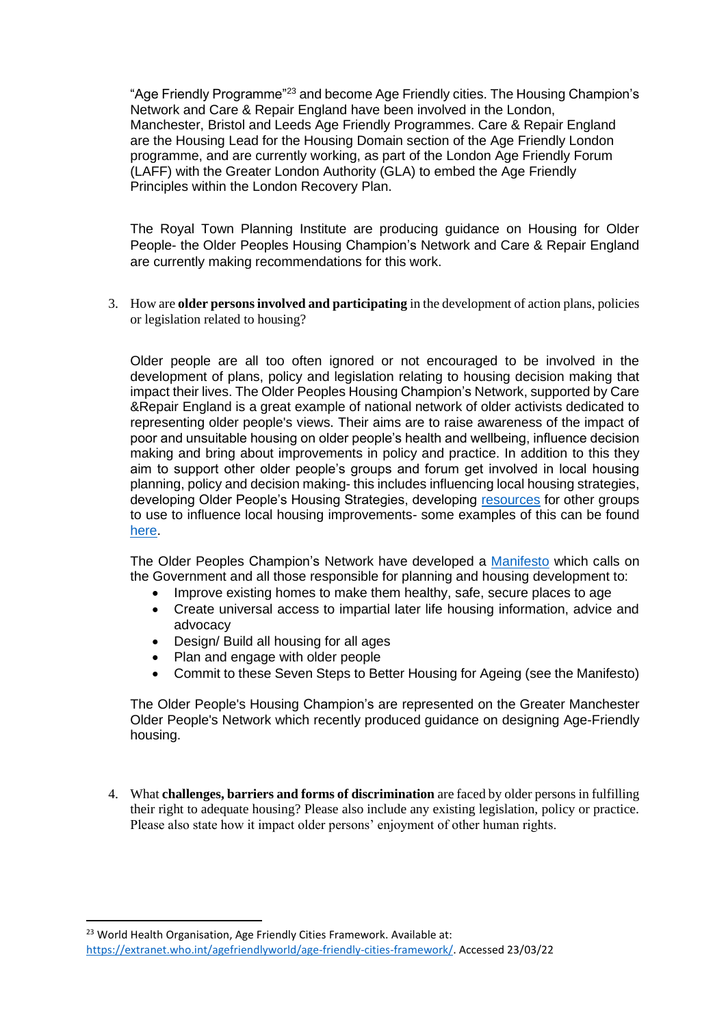"Age Friendly Programme"<sup>23</sup> and become Age Friendly cities. The Housing Champion's Network and Care & Repair England have been involved in the London, Manchester, Bristol and Leeds Age Friendly Programmes. Care & Repair England are the Housing Lead for the Housing Domain section of the Age Friendly London programme, and are currently working, as part of the London Age Friendly Forum (LAFF) with the Greater London Authority (GLA) to embed the Age Friendly Principles within the London Recovery Plan.

The Royal Town Planning Institute are producing guidance on Housing for Older People- the Older Peoples Housing Champion's Network and Care & Repair England are currently making recommendations for this work.

3. How are **older persons involved and participating** in the development of action plans, policies or legislation related to housing?

Older people are all too often ignored or not encouraged to be involved in the development of plans, policy and legislation relating to housing decision making that impact their lives. The Older Peoples Housing Champion's Network, supported by Care &Repair England is a great example of national network of older activists dedicated to representing older people's views. Their aims are to raise awareness of the impact of poor and unsuitable housing on older people's health and wellbeing, influence decision making and bring about improvements in policy and practice. In addition to this they aim to support other older people's groups and forum get involved in local housing planning, policy and decision making- this includes influencing local housing strategies, developing Older People's Housing Strategies, developing [resources](https://housingaction.blog/resources-and-intelligence/) for other groups to use to influence local housing improvements- some examples of this can be found [here.](https://housingaction.blog/get-involved/)

The Older Peoples Champion's Network have developed a [Manifesto](https://housingactionblog.files.wordpress.com/2019/08/oph-champions-manifesto-infographic-2019.pdf) which calls on the Government and all those responsible for planning and housing development to:

- Improve existing homes to make them healthy, safe, secure places to age
- Create universal access to impartial later life housing information, advice and advocacy
- Design/ Build all housing for all ages
- Plan and engage with older people
- Commit to these Seven Steps to Better Housing for Ageing (see the Manifesto)

The Older People's Housing Champion's are represented on the Greater Manchester Older People's Network which recently produced guidance on designing Age-Friendly housing.

4. What **challenges, barriers and forms of discrimination** are faced by older persons in fulfilling their right to adequate housing? Please also include any existing legislation, policy or practice. Please also state how it impact older persons' enjoyment of other human rights.

<sup>&</sup>lt;sup>23</sup> World Health Organisation, Age Friendly Cities Framework. Available at: [https://extranet.who.int/agefriendlyworld/age-friendly-cities-framework/.](https://extranet.who.int/agefriendlyworld/age-friendly-cities-framework/) Accessed 23/03/22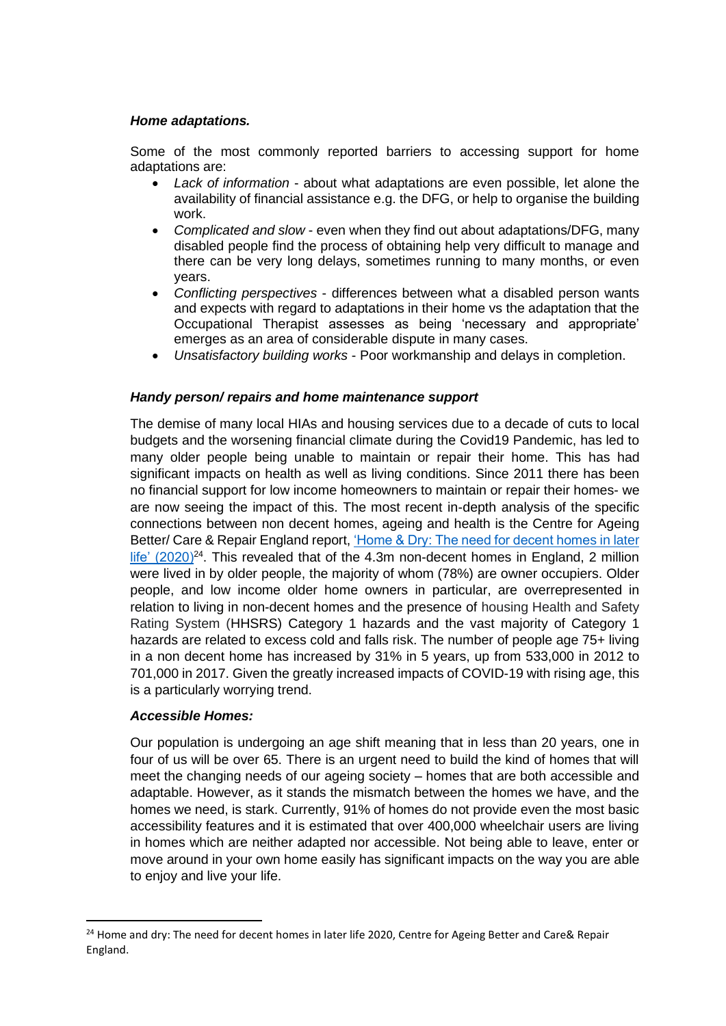## *Home adaptations.*

Some of the most commonly reported barriers to accessing support for home adaptations are:

- *Lack of information* about what adaptations are even possible, let alone the availability of financial assistance e.g. the DFG, or help to organise the building work.
- *Complicated and slow* even when they find out about adaptations/DFG, many disabled people find the process of obtaining help very difficult to manage and there can be very long delays, sometimes running to many months, or even years.
- *Conflicting perspectives* differences between what a disabled person wants and expects with regard to adaptations in their home vs the adaptation that the Occupational Therapist assesses as being 'necessary and appropriate' emerges as an area of considerable dispute in many cases.
- *Unsatisfactory building works* Poor workmanship and delays in completion.

#### *Handy person/ repairs and home maintenance support*

The demise of many local HIAs and housing services due to a decade of cuts to local budgets and the worsening financial climate during the Covid19 Pandemic, has led to many older people being unable to maintain or repair their home. This has had significant impacts on health as well as living conditions. Since 2011 there has been no financial support for low income homeowners to maintain or repair their homes- we are now seeing the impact of this. The most recent in-depth analysis of the specific connections between non decent homes, ageing and health is the Centre for Ageing Better/ Care & Repair England report, ['Home & Dry: The need for decent homes in later](https://ageing-better.org.uk/publications/home-and-dry-need-decent-homes-later-life)   $life'$  (2020)<sup>24</sup>. This revealed that of the 4.3m non-decent homes in England, 2 million were lived in by older people, the majority of whom (78%) are owner occupiers. Older people, and low income older home owners in particular, are overrepresented in relation to living in non-decent homes and the presence of housing Health and Safety Rating System (HHSRS) Category 1 hazards and the vast majority of Category 1 hazards are related to excess cold and falls risk. The number of people age 75+ living in a non decent home has increased by 31% in 5 years, up from 533,000 in 2012 to 701,000 in 2017. Given the greatly increased impacts of COVID-19 with rising age, this is a particularly worrying trend.

#### *Accessible Homes:*

Our population is undergoing an age shift meaning that in less than 20 years, one in four of us will be over 65. There is an urgent need to build the kind of homes that will meet the changing needs of our ageing society – homes that are both accessible and adaptable. However, as it stands the mismatch between the homes we have, and the homes we need, is stark. Currently, 91% of homes do not provide even the most basic accessibility features and it is estimated that over 400,000 wheelchair users are living in homes which are neither adapted nor accessible. Not being able to leave, enter or move around in your own home easily has significant impacts on the way you are able to enjoy and live your life.

<sup>&</sup>lt;sup>24</sup> Home and dry: The need for decent homes in later life 2020, Centre for Ageing Better and Care& Repair England.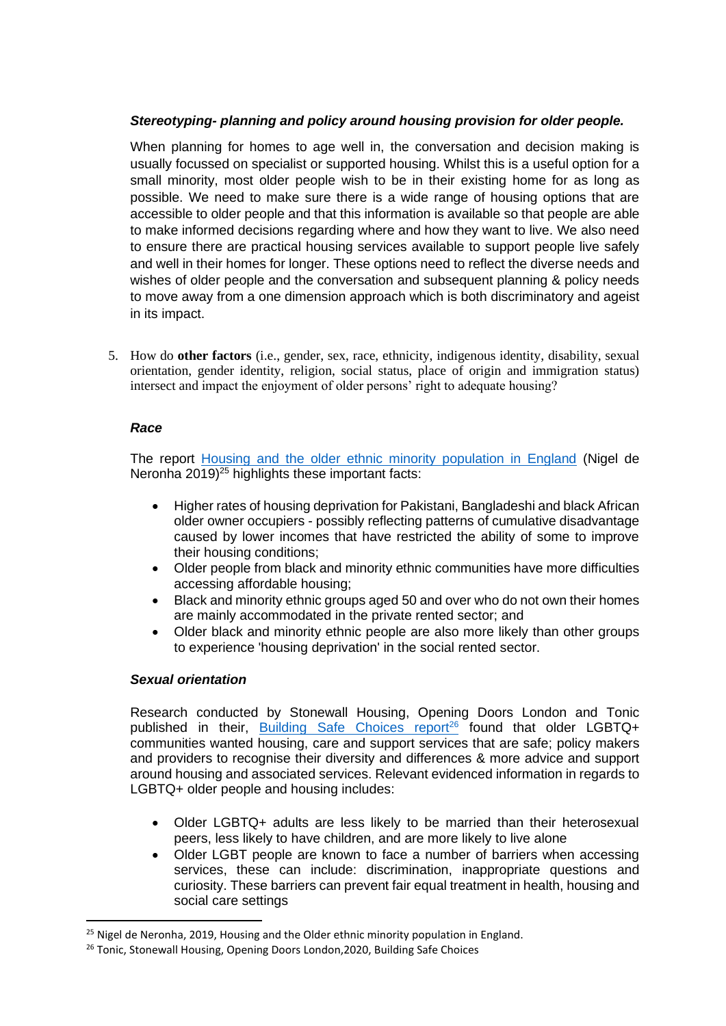## *Stereotyping- planning and policy around housing provision for older people.*

When planning for homes to age well in, the conversation and decision making is usually focussed on specialist or supported housing. Whilst this is a useful option for a small minority, most older people wish to be in their existing home for as long as possible. We need to make sure there is a wide range of housing options that are accessible to older people and that this information is available so that people are able to make informed decisions regarding where and how they want to live. We also need to ensure there are practical housing services available to support people live safely and well in their homes for longer. These options need to reflect the diverse needs and wishes of older people and the conversation and subsequent planning & policy needs to move away from a one dimension approach which is both discriminatory and ageist in its impact.

5. How do **other factors** (i.e., gender, sex, race, ethnicity, indigenous identity, disability, sexual orientation, gender identity, religion, social status, place of origin and immigration status) intersect and impact the enjoyment of older persons' right to adequate housing?

## *Race*

The report [Housing and the older ethnic minority population in England](https://www.housinglin.org.uk/Topics/type/Housing-and-the-older-ethnic-minority-population-in-England/) (Nigel de Neronha  $2019)^{25}$  highlights these important facts:

- Higher rates of housing deprivation for Pakistani, Bangladeshi and black African older owner occupiers - possibly reflecting patterns of cumulative disadvantage caused by lower incomes that have restricted the ability of some to improve their housing conditions;
- Older people from black and minority ethnic communities have more difficulties accessing affordable housing;
- Black and minority ethnic groups aged 50 and over who do not own their homes are mainly accommodated in the private rented sector; and
- Older black and minority ethnic people are also more likely than other groups to experience 'housing deprivation' in the social rented sector.

## *Sexual orientation*

Research conducted by Stonewall Housing, Opening Doors London and Tonic published in their, [Building Safe Choices report](https://www.openingdoorslondon.org.uk/news/launching-building-safe-choices-2020)<sup>26</sup> found that older LGBTQ+ communities wanted housing, care and support services that are safe; policy makers and providers to recognise their diversity and differences & more advice and support around housing and associated services. Relevant evidenced information in regards to LGBTQ+ older people and housing includes:

- Older LGBTQ+ adults are less likely to be married than their heterosexual peers, less likely to have children, and are more likely to live alone
- Older LGBT people are known to face a number of barriers when accessing services, these can include: discrimination, inappropriate questions and curiosity. These barriers can prevent fair equal treatment in health, housing and social care settings

<sup>&</sup>lt;sup>25</sup> Nigel de Neronha, 2019, Housing and the Older ethnic minority population in England.

<sup>&</sup>lt;sup>26</sup> Tonic, Stonewall Housing, Opening Doors London, 2020, Building Safe Choices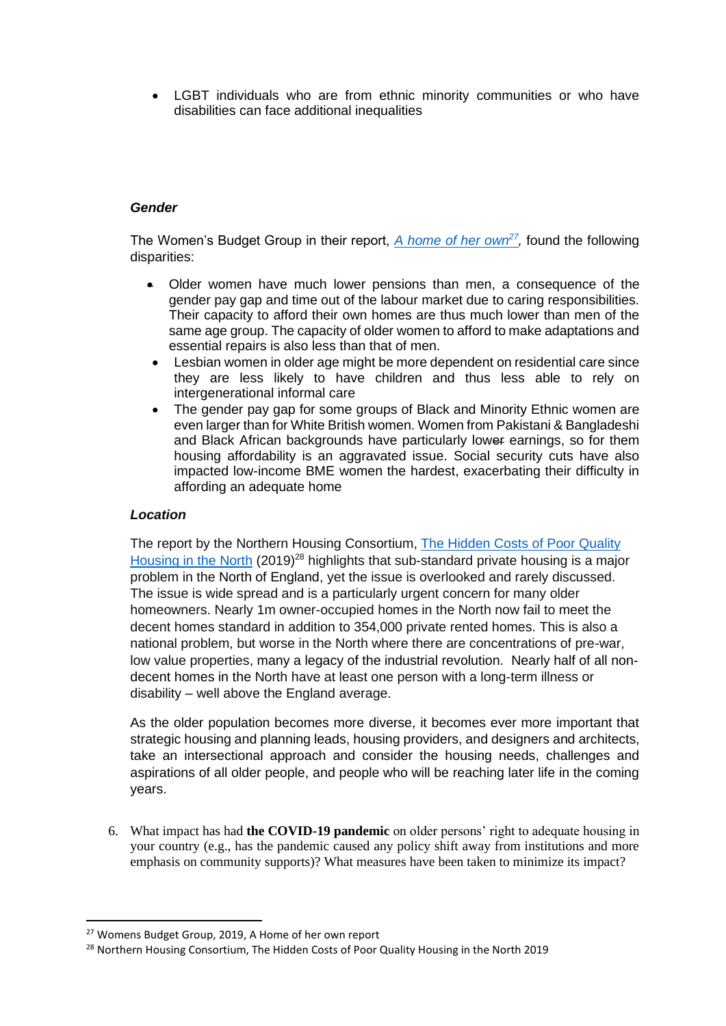• LGBT individuals who are from ethnic minority communities or who have disabilities can face additional inequalities

## *Gender*

The Women's Budget Group in their report, *[A home of her own](https://wbg.org.uk/wp-content/uploads/2019/07/WBG19-Housing-report-exec-sum-digital.pdf)<sup>27</sup>*, found the following disparities:

- Older women have much lower pensions than men, a consequence of the gender pay gap and time out of the labour market due to caring responsibilities. Their capacity to afford their own homes are thus much lower than men of the same age group. The capacity of older women to afford to make adaptations and essential repairs is also less than that of men.
- Lesbian women in older age might be more dependent on residential care since they are less likely to have children and thus less able to rely on intergenerational informal care
- The gender pay gap for some groups of Black and Minority Ethnic women are even larger than for White British women. Women from Pakistani & Bangladeshi and Black African backgrounds have particularly lower earnings, so for them housing affordability is an aggravated issue. Social security cuts have also impacted low-income BME women the hardest, exacerbating their difficulty in affording an adequate home

#### *Location*

The report by the Northern Housing Consortium, The Hidden Costs of Poor Quality [Housing in the North](https://www.northern-consortium.org.uk/wp-content/uploads/2018/10/The-Hidden-Costs-of-Poor-Quality-Housing-in-the-North.pdf) (2019)<sup>28</sup> highlights that sub-standard private housing is a major problem in the North of England, yet the issue is overlooked and rarely discussed. The issue is wide spread and is a particularly urgent concern for many older homeowners. Nearly 1m owner-occupied homes in the North now fail to meet the decent homes standard in addition to 354,000 private rented homes. This is also a national problem, but worse in the North where there are concentrations of pre-war, low value properties, many a legacy of the industrial revolution. Nearly half of all nondecent homes in the North have at least one person with a long-term illness or disability – well above the England average.

As the older population becomes more diverse, it becomes ever more important that strategic housing and planning leads, housing providers, and designers and architects, take an intersectional approach and consider the housing needs, challenges and aspirations of all older people, and people who will be reaching later life in the coming years.

6. What impact has had **the COVID-19 pandemic** on older persons' right to adequate housing in your country (e.g., has the pandemic caused any policy shift away from institutions and more emphasis on community supports)? What measures have been taken to minimize its impact?

<sup>27</sup> Womens Budget Group, 2019, A Home of her own report

<sup>&</sup>lt;sup>28</sup> Northern Housing Consortium, The Hidden Costs of Poor Quality Housing in the North 2019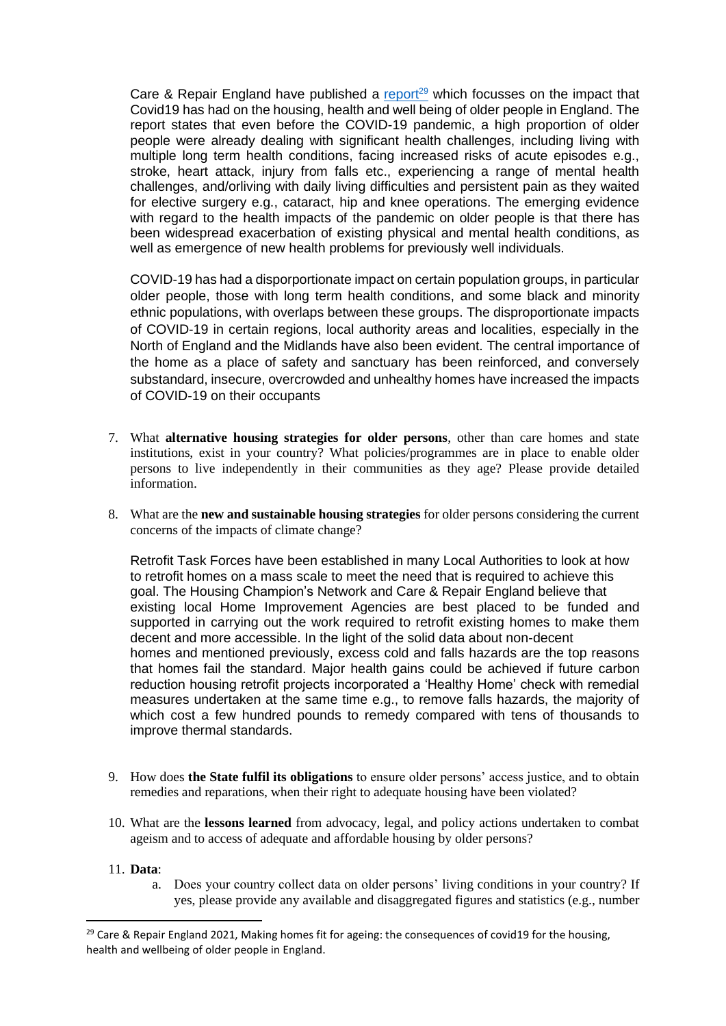Care & Repair England have published a [report](https://careandrepair-england.org.uk/Handlers/Download.ashx?IDMF=0dcba0a2-193d-4534-9667-a4b51cd84eab)<sup>29</sup> which focusses on the impact that Covid19 has had on the housing, health and well being of older people in England. The report states that even before the COVID-19 pandemic, a high proportion of older people were already dealing with significant health challenges, including living with multiple long term health conditions, facing increased risks of acute episodes e.g., stroke, heart attack, injury from falls etc., experiencing a range of mental health challenges, and/orliving with daily living difficulties and persistent pain as they waited for elective surgery e.g., cataract, hip and knee operations. The emerging evidence with regard to the health impacts of the pandemic on older people is that there has been widespread exacerbation of existing physical and mental health conditions, as well as emergence of new health problems for previously well individuals.

COVID-19 has had a disporportionate impact on certain population groups, in particular older people, those with long term health conditions, and some black and minority ethnic populations, with overlaps between these groups. The disproportionate impacts of COVID-19 in certain regions, local authority areas and localities, especially in the North of England and the Midlands have also been evident. The central importance of the home as a place of safety and sanctuary has been reinforced, and conversely substandard, insecure, overcrowded and unhealthy homes have increased the impacts of COVID-19 on their occupants

- 7. What **alternative housing strategies for older persons**, other than care homes and state institutions, exist in your country? What policies/programmes are in place to enable older persons to live independently in their communities as they age? Please provide detailed information.
- 8. What are the **new and sustainable housing strategies** for older persons considering the current concerns of the impacts of climate change?

Retrofit Task Forces have been established in many Local Authorities to look at how to retrofit homes on a mass scale to meet the need that is required to achieve this goal. The Housing Champion's Network and Care & Repair England believe that existing local Home Improvement Agencies are best placed to be funded and supported in carrying out the work required to retrofit existing homes to make them decent and more accessible. In the light of the solid data about non-decent homes and mentioned previously, excess cold and falls hazards are the top reasons that homes fail the standard. Major health gains could be achieved if future carbon reduction housing retrofit projects incorporated a 'Healthy Home' check with remedial measures undertaken at the same time e.g., to remove falls hazards, the majority of which cost a few hundred pounds to remedy compared with tens of thousands to improve thermal standards.

- 9. How does **the State fulfil its obligations** to ensure older persons' access justice, and to obtain remedies and reparations, when their right to adequate housing have been violated?
- 10. What are the **lessons learned** from advocacy, legal, and policy actions undertaken to combat ageism and to access of adequate and affordable housing by older persons?

#### 11. **Data**:

a. Does your country collect data on older persons' living conditions in your country? If yes, please provide any available and disaggregated figures and statistics (e.g., number

<sup>&</sup>lt;sup>29</sup> Care & Repair England 2021, Making homes fit for ageing: the consequences of covid19 for the housing, health and wellbeing of older people in England.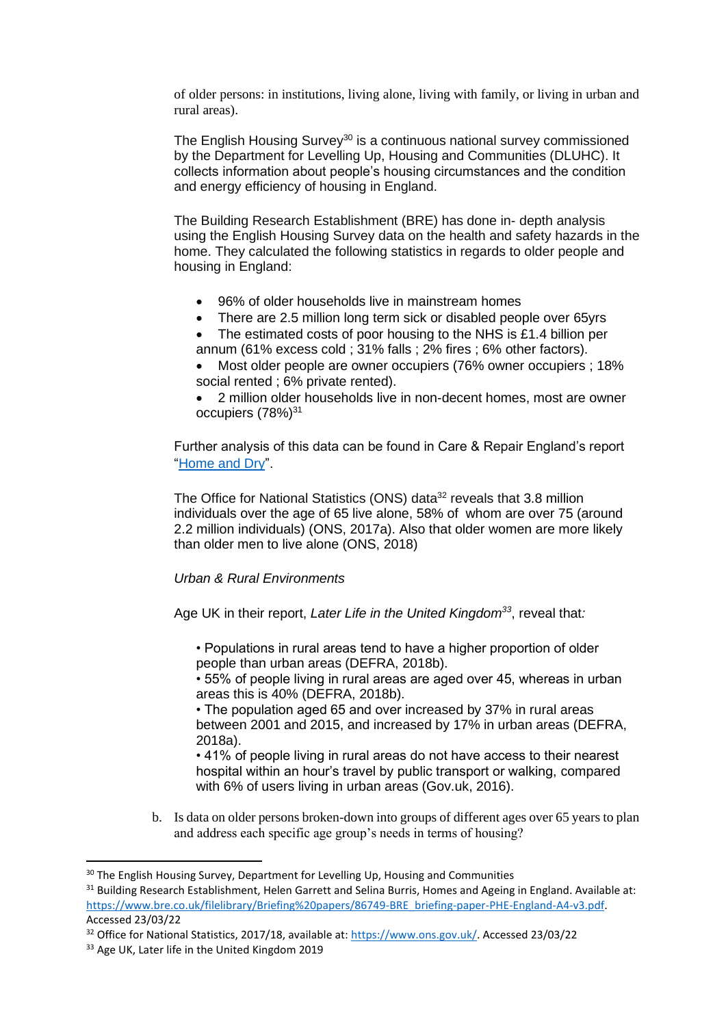of older persons: in institutions, living alone, living with family, or living in urban and rural areas).

The English Housing Survey<sup>30</sup> is a continuous national survey commissioned by the Department for Levelling Up, Housing and Communities (DLUHC). It collects information about people's housing circumstances and the condition and energy efficiency of housing in England.

The Building Research Establishment (BRE) has done in- depth analysis using the English Housing Survey data on the health and safety hazards in the home. They calculated the following statistics in regards to older people and housing in England:

- 96% of older households live in mainstream homes
- There are 2.5 million long term sick or disabled people over 65yrs
- The estimated costs of poor housing to the NHS is £1.4 billion per
- annum (61% excess cold ; 31% falls ; 2% fires ; 6% other factors).
- Most older people are owner occupiers (76% owner occupiers ; 18% social rented ; 6% private rented).

• 2 million older households live in non-decent homes, most are owner occupiers (78%)<sup>31</sup>

Further analysis of this data can be found in Care & Repair England's report ["Home and Dry"](https://careandrepair-england.org.uk/Handlers/Download.ashx?IDMF=af908eb9-4001-4f06-851f-300704785c2f).

The Office for National Statistics (ONS) data<sup>32</sup> reveals that 3.8 million individuals over the age of 65 live alone, 58% of whom are over 75 (around 2.2 million individuals) (ONS, 2017a). Also that older women are more likely than older men to live alone (ONS, 2018)

## *Urban & Rural Environments*

Age UK in their report, *Later Life in the United Kingdom<sup>33</sup>* , reveal that*:*

• Populations in rural areas tend to have a higher proportion of older people than urban areas (DEFRA, 2018b).

• 55% of people living in rural areas are aged over 45, whereas in urban areas this is 40% (DEFRA, 2018b).

• The population aged 65 and over increased by 37% in rural areas between 2001 and 2015, and increased by 17% in urban areas (DEFRA, 2018a).

• 41% of people living in rural areas do not have access to their nearest hospital within an hour's travel by public transport or walking, compared with 6% of users living in urban areas (Gov.uk, 2016).

b. Is data on older persons broken-down into groups of different ages over 65 years to plan and address each specific age group's needs in terms of housing?

<sup>&</sup>lt;sup>30</sup> The English Housing Survey, Department for Levelling Up, Housing and Communities

<sup>&</sup>lt;sup>31</sup> Building Research Establishment, Helen Garrett and Selina Burris, Homes and Ageing in England. Available at: [https://www.bre.co.uk/filelibrary/Briefing%20papers/86749-BRE\\_briefing-paper-PHE-England-A4-v3.pdf.](https://www.bre.co.uk/filelibrary/Briefing%20papers/86749-BRE_briefing-paper-PHE-England-A4-v3.pdf) Accessed 23/03/22

<sup>&</sup>lt;sup>32</sup> Office for National Statistics, 2017/18, available at: [https://www.ons.gov.uk/.](https://www.ons.gov.uk/) Accessed 23/03/22

<sup>33</sup> Age UK, Later life in the United Kingdom 2019